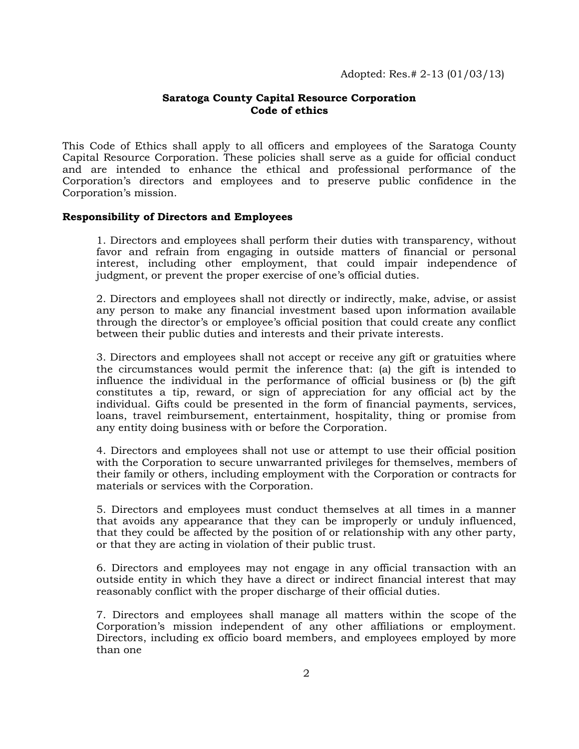# **Saratoga County Capital Resource Corporation Code of ethics**

This Code of Ethics shall apply to all officers and employees of the Saratoga County Capital Resource Corporation. These policies shall serve as a guide for official conduct and are intended to enhance the ethical and professional performance of the Corporation's directors and employees and to preserve public confidence in the Corporation's mission.

## **Responsibility of Directors and Employees**

1. Directors and employees shall perform their duties with transparency, without favor and refrain from engaging in outside matters of financial or personal interest, including other employment, that could impair independence of judgment, or prevent the proper exercise of one's official duties.

2. Directors and employees shall not directly or indirectly, make, advise, or assist any person to make any financial investment based upon information available through the director's or employee's official position that could create any conflict between their public duties and interests and their private interests.

3. Directors and employees shall not accept or receive any gift or gratuities where the circumstances would permit the inference that: (a) the gift is intended to influence the individual in the performance of official business or (b) the gift constitutes a tip, reward, or sign of appreciation for any official act by the individual. Gifts could be presented in the form of financial payments, services, loans, travel reimbursement, entertainment, hospitality, thing or promise from any entity doing business with or before the Corporation.

4. Directors and employees shall not use or attempt to use their official position with the Corporation to secure unwarranted privileges for themselves, members of their family or others, including employment with the Corporation or contracts for materials or services with the Corporation.

5. Directors and employees must conduct themselves at all times in a manner that avoids any appearance that they can be improperly or unduly influenced, that they could be affected by the position of or relationship with any other party, or that they are acting in violation of their public trust.

6. Directors and employees may not engage in any official transaction with an outside entity in which they have a direct or indirect financial interest that may reasonably conflict with the proper discharge of their official duties.

7. Directors and employees shall manage all matters within the scope of the Corporation's mission independent of any other affiliations or employment. Directors, including ex officio board members, and employees employed by more than one